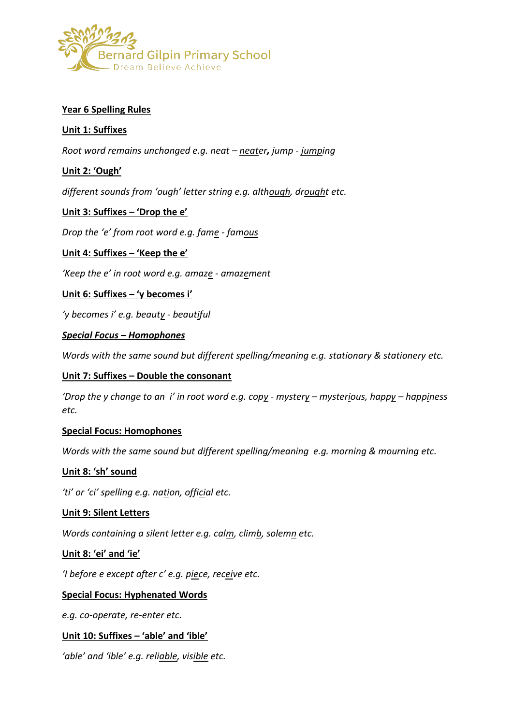

## **Year 6 Spelling Rules**

## **Unit 1: Suffixes**

*Root word remains unchanged e.g. neat – neater, jump - jumping*

## **Unit 2: 'Ough'**

*different sounds from 'ough' letter string e.g. although, drought etc.*

#### **Unit 3: Suffixes – 'Drop the e'**

*Drop the 'e' from root word e.g. fame - famous*

## **Unit 4: Suffixes – 'Keep the e'**

*'Keep the e' in root word e.g. amaze - amazement*

## **Unit 6: Suffixes – 'y becomes i'**

*'y becomes i' e.g. beauty - beautiful*

#### *Special Focus – Homophones*

*Words with the same sound but different spelling/meaning e.g. stationary & stationery etc.*

#### **Unit 7: Suffixes – Double the consonant**

*'Drop the y change to an i' in root word e.g. copy - mystery – mysterious, happy – happiness etc.*

#### **Special Focus: Homophones**

*Words with the same sound but different spelling/meaning e.g. morning & mourning etc.*

#### **Unit 8: 'sh' sound**

*'ti' or 'ci' spelling e.g. nation, official etc.*

#### **Unit 9: Silent Letters**

*Words containing a silent letter e.g. calm, climb, solemn etc.*

#### **Unit 8: 'ei' and 'ie'**

*'I before e except after c' e.g. piece, receive etc.*

#### **Special Focus: Hyphenated Words**

*e.g. co-operate, re-enter etc.*

#### **Unit 10: Suffixes – 'able' and 'ible'**

*'able' and 'ible' e.g. reliable, visible etc.*